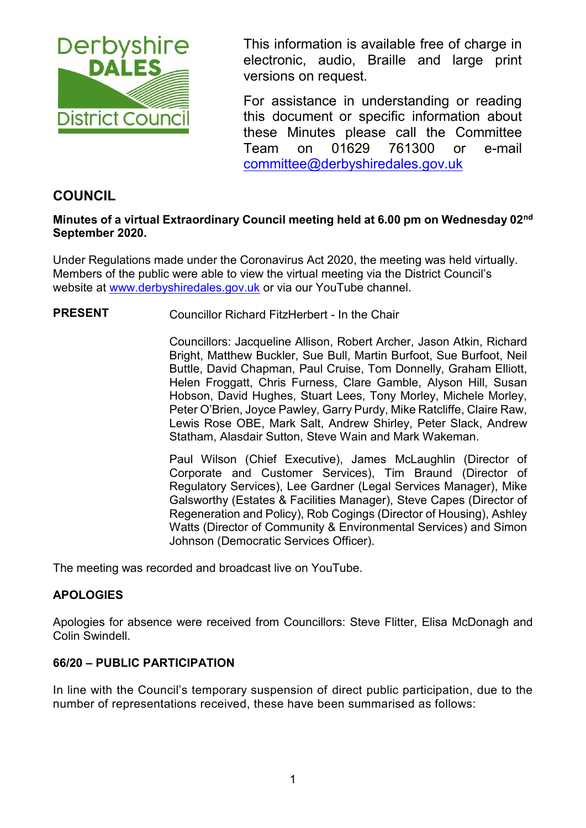

This information is available free of charge in electronic, audio, Braille and large print versions on request.

For assistance in understanding or reading this document or specific information about these Minutes please call the Committee Team on 01629 761300 or e-mail [committee@derbyshiredales.gov.uk](mailto:brian.evans@derbyshiredales.gov.uk) 

# **COUNCIL**

## **Minutes of a virtual Extraordinary Council meeting held at 6.00 pm on Wednesday 02nd September 2020.**

Under Regulations made under the Coronavirus Act 2020, the meeting was held virtually. Members of the public were able to view the virtual meeting via the District Council's website at [www.derbyshiredales.gov.uk](http://www.derbyshiredales.gov.uk/) or via our YouTube channel.

## **PRESENT** Councillor Richard FitzHerbert - In the Chair

Councillors: Jacqueline Allison, Robert Archer, Jason Atkin, Richard Bright, Matthew Buckler, Sue Bull, Martin Burfoot, Sue Burfoot, Neil Buttle, David Chapman, Paul Cruise, Tom Donnelly, Graham Elliott, Helen Froggatt, Chris Furness, Clare Gamble, Alyson Hill, Susan Hobson, David Hughes, Stuart Lees, Tony Morley, Michele Morley, Peter O'Brien, Joyce Pawley, Garry Purdy, Mike Ratcliffe, Claire Raw, Lewis Rose OBE, Mark Salt, Andrew Shirley, Peter Slack, Andrew Statham, Alasdair Sutton, Steve Wain and Mark Wakeman.

Paul Wilson (Chief Executive), James McLaughlin (Director of Corporate and Customer Services), Tim Braund (Director of Regulatory Services), Lee Gardner (Legal Services Manager), Mike Galsworthy (Estates & Facilities Manager), Steve Capes (Director of Regeneration and Policy), Rob Cogings (Director of Housing), Ashley Watts (Director of Community & Environmental Services) and Simon Johnson (Democratic Services Officer).

The meeting was recorded and broadcast live on YouTube.

### **APOLOGIES**

Apologies for absence were received from Councillors: Steve Flitter, Elisa McDonagh and Colin Swindell.

### **66/20 – PUBLIC PARTICIPATION**

In line with the Council's temporary suspension of direct public participation, due to the number of representations received, these have been summarised as follows: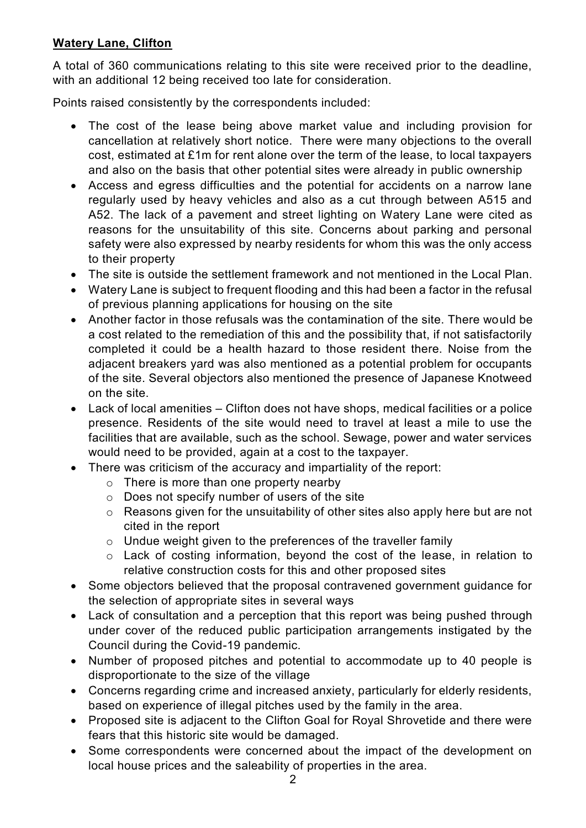# **Watery Lane, Clifton**

A total of 360 communications relating to this site were received prior to the deadline, with an additional 12 being received too late for consideration.

Points raised consistently by the correspondents included:

- The cost of the lease being above market value and including provision for cancellation at relatively short notice. There were many objections to the overall cost, estimated at £1m for rent alone over the term of the lease, to local taxpayers and also on the basis that other potential sites were already in public ownership
- Access and egress difficulties and the potential for accidents on a narrow lane regularly used by heavy vehicles and also as a cut through between A515 and A52. The lack of a pavement and street lighting on Watery Lane were cited as reasons for the unsuitability of this site. Concerns about parking and personal safety were also expressed by nearby residents for whom this was the only access to their property
- The site is outside the settlement framework and not mentioned in the Local Plan.
- Watery Lane is subiect to frequent flooding and this had been a factor in the refusal of previous planning applications for housing on the site
- Another factor in those refusals was the contamination of the site. There would be a cost related to the remediation of this and the possibility that, if not satisfactorily completed it could be a health hazard to those resident there. Noise from the adjacent breakers yard was also mentioned as a potential problem for occupants of the site. Several objectors also mentioned the presence of Japanese Knotweed on the site.
- Lack of local amenities Clifton does not have shops, medical facilities or a police presence. Residents of the site would need to travel at least a mile to use the facilities that are available, such as the school. Sewage, power and water services would need to be provided, again at a cost to the taxpayer.
- There was criticism of the accuracy and impartiality of the report:
	- o There is more than one property nearby
	- o Does not specify number of users of the site
	- o Reasons given for the unsuitability of other sites also apply here but are not cited in the report
	- o Undue weight given to the preferences of the traveller family
	- o Lack of costing information, beyond the cost of the lease, in relation to relative construction costs for this and other proposed sites
- Some objectors believed that the proposal contravened government guidance for the selection of appropriate sites in several ways
- Lack of consultation and a perception that this report was being pushed through under cover of the reduced public participation arrangements instigated by the Council during the Covid-19 pandemic.
- Number of proposed pitches and potential to accommodate up to 40 people is disproportionate to the size of the village
- Concerns regarding crime and increased anxiety, particularly for elderly residents, based on experience of illegal pitches used by the family in the area.
- Proposed site is adjacent to the Clifton Goal for Royal Shrovetide and there were fears that this historic site would be damaged.
- Some correspondents were concerned about the impact of the development on local house prices and the saleability of properties in the area.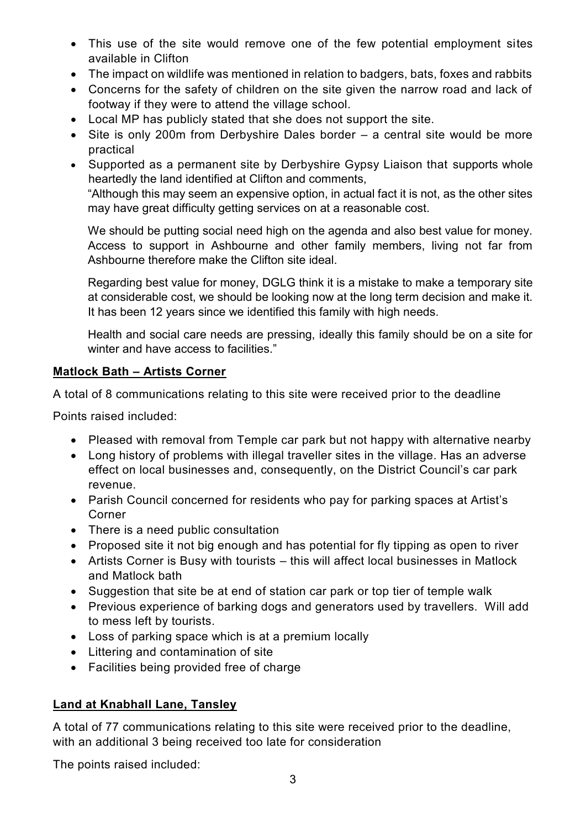- This use of the site would remove one of the few potential employment sites available in Clifton
- The impact on wildlife was mentioned in relation to badgers, bats, foxes and rabbits
- Concerns for the safety of children on the site given the narrow road and lack of footway if they were to attend the village school.
- Local MP has publicly stated that she does not support the site.
- Site is only 200m from Derbyshire Dales border a central site would be more practical
- Supported as a permanent site by Derbyshire Gypsy Liaison that supports whole heartedly the land identified at Clifton and comments,

"Although this may seem an expensive option, in actual fact it is not, as the other sites may have great difficulty getting services on at a reasonable cost.

We should be putting social need high on the agenda and also best value for money. Access to support in Ashbourne and other family members, living not far from Ashbourne therefore make the Clifton site ideal.

Regarding best value for money, DGLG think it is a mistake to make a temporary site at considerable cost, we should be looking now at the long term decision and make it. It has been 12 years since we identified this family with high needs.

Health and social care needs are pressing, ideally this family should be on a site for winter and have access to facilities."

## **Matlock Bath – Artists Corner**

A total of 8 communications relating to this site were received prior to the deadline

Points raised included:

- Pleased with removal from Temple car park but not happy with alternative nearby
- Long history of problems with illegal traveller sites in the village. Has an adverse effect on local businesses and, consequently, on the District Council's car park revenue.
- Parish Council concerned for residents who pay for parking spaces at Artist's Corner
- There is a need public consultation
- Proposed site it not big enough and has potential for fly tipping as open to river
- Artists Corner is Busy with tourists this will affect local businesses in Matlock and Matlock bath
- Suggestion that site be at end of station car park or top tier of temple walk
- Previous experience of barking dogs and generators used by travellers. Will add to mess left by tourists.
- Loss of parking space which is at a premium locally
- Littering and contamination of site
- Facilities being provided free of charge

# **Land at Knabhall Lane, Tansley**

A total of 77 communications relating to this site were received prior to the deadline, with an additional 3 being received too late for consideration

The points raised included: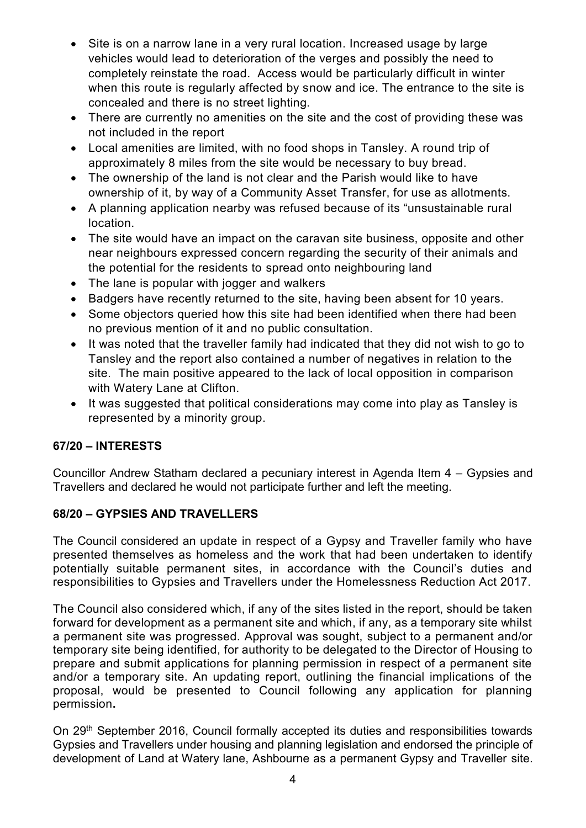- Site is on a narrow lane in a very rural location. Increased usage by large vehicles would lead to deterioration of the verges and possibly the need to completely reinstate the road. Access would be particularly difficult in winter when this route is regularly affected by snow and ice. The entrance to the site is concealed and there is no street lighting.
- There are currently no amenities on the site and the cost of providing these was not included in the report
- Local amenities are limited, with no food shops in Tansley. A round trip of approximately 8 miles from the site would be necessary to buy bread.
- The ownership of the land is not clear and the Parish would like to have ownership of it, by way of a Community Asset Transfer, for use as allotments.
- A planning application nearby was refused because of its "unsustainable rural location.
- The site would have an impact on the caravan site business, opposite and other near neighbours expressed concern regarding the security of their animals and the potential for the residents to spread onto neighbouring land
- The lane is popular with jogger and walkers
- Badgers have recently returned to the site, having been absent for 10 years.
- Some objectors queried how this site had been identified when there had been no previous mention of it and no public consultation.
- It was noted that the traveller family had indicated that they did not wish to go to Tansley and the report also contained a number of negatives in relation to the site. The main positive appeared to the lack of local opposition in comparison with Watery Lane at Clifton.
- It was suggested that political considerations may come into play as Tansley is represented by a minority group.

# **67/20 – INTERESTS**

Councillor Andrew Statham declared a pecuniary interest in Agenda Item 4 – Gypsies and Travellers and declared he would not participate further and left the meeting.

## **68/20 – GYPSIES AND TRAVELLERS**

The Council considered an update in respect of a Gypsy and Traveller family who have presented themselves as homeless and the work that had been undertaken to identify potentially suitable permanent sites, in accordance with the Council's duties and responsibilities to Gypsies and Travellers under the Homelessness Reduction Act 2017.

The Council also considered which, if any of the sites listed in the report, should be taken forward for development as a permanent site and which, if any, as a temporary site whilst a permanent site was progressed. Approval was sought, subject to a permanent and/or temporary site being identified, for authority to be delegated to the Director of Housing to prepare and submit applications for planning permission in respect of a permanent site and/or a temporary site. An updating report, outlining the financial implications of the proposal, would be presented to Council following any application for planning permission**.**

On 29th September 2016, Council formally accepted its duties and responsibilities towards Gypsies and Travellers under housing and planning legislation and endorsed the principle of development of Land at Watery lane, Ashbourne as a permanent Gypsy and Traveller site.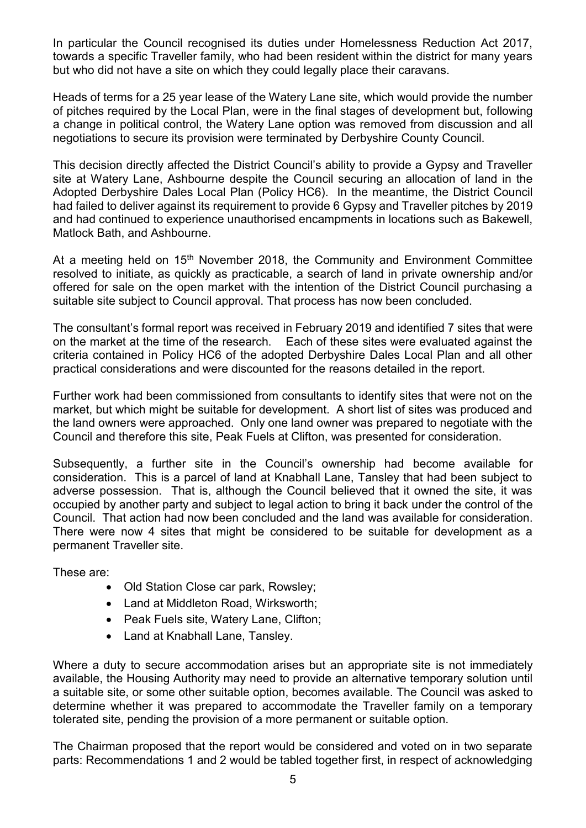In particular the Council recognised its duties under Homelessness Reduction Act 2017, towards a specific Traveller family, who had been resident within the district for many years but who did not have a site on which they could legally place their caravans.

Heads of terms for a 25 year lease of the Watery Lane site, which would provide the number of pitches required by the Local Plan, were in the final stages of development but, following a change in political control, the Watery Lane option was removed from discussion and all negotiations to secure its provision were terminated by Derbyshire County Council.

This decision directly affected the District Council's ability to provide a Gypsy and Traveller site at Watery Lane, Ashbourne despite the Council securing an allocation of land in the Adopted Derbyshire Dales Local Plan (Policy HC6). In the meantime, the District Council had failed to deliver against its requirement to provide 6 Gypsy and Traveller pitches by 2019 and had continued to experience unauthorised encampments in locations such as Bakewell, Matlock Bath, and Ashbourne.

At a meeting held on  $15<sup>th</sup>$  November 2018, the Community and Environment Committee resolved to initiate, as quickly as practicable, a search of land in private ownership and/or offered for sale on the open market with the intention of the District Council purchasing a suitable site subject to Council approval. That process has now been concluded.

The consultant's formal report was received in February 2019 and identified 7 sites that were on the market at the time of the research. Each of these sites were evaluated against the criteria contained in Policy HC6 of the adopted Derbyshire Dales Local Plan and all other practical considerations and were discounted for the reasons detailed in the report.

Further work had been commissioned from consultants to identify sites that were not on the market, but which might be suitable for development. A short list of sites was produced and the land owners were approached. Only one land owner was prepared to negotiate with the Council and therefore this site, Peak Fuels at Clifton, was presented for consideration.

Subsequently, a further site in the Council's ownership had become available for consideration. This is a parcel of land at Knabhall Lane, Tansley that had been subject to adverse possession. That is, although the Council believed that it owned the site, it was occupied by another party and subject to legal action to bring it back under the control of the Council. That action had now been concluded and the land was available for consideration. There were now 4 sites that might be considered to be suitable for development as a permanent Traveller site.

These are:

- Old Station Close car park, Rowsley:
- Land at Middleton Road, Wirksworth;
- Peak Fuels site, Watery Lane, Clifton;
- Land at Knabhall Lane, Tansley.

Where a duty to secure accommodation arises but an appropriate site is not immediately available, the Housing Authority may need to provide an alternative temporary solution until a suitable site, or some other suitable option, becomes available. The Council was asked to determine whether it was prepared to accommodate the Traveller family on a temporary tolerated site, pending the provision of a more permanent or suitable option.

The Chairman proposed that the report would be considered and voted on in two separate parts: Recommendations 1 and 2 would be tabled together first, in respect of acknowledging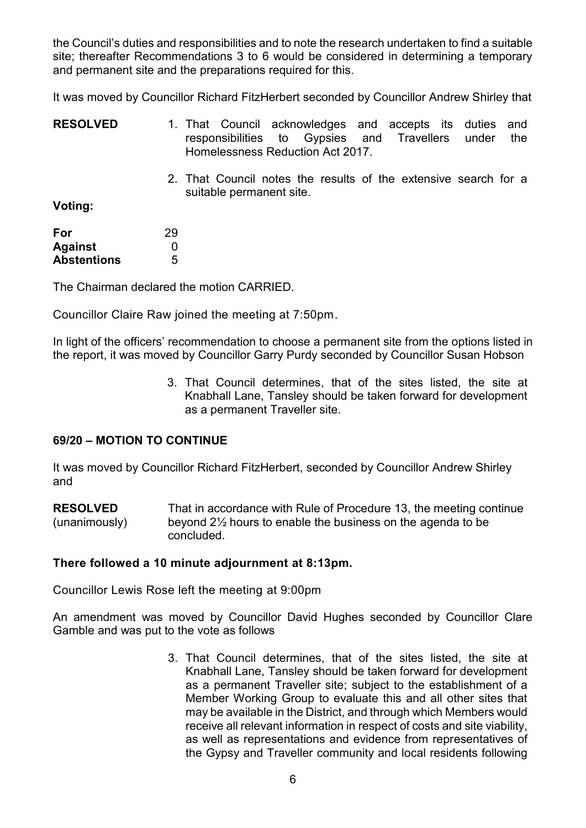the Council's duties and responsibilities and to note the research undertaken to find a suitable site; thereafter Recommendations 3 to 6 would be considered in determining a temporary and permanent site and the preparations required for this.

It was moved by Councillor Richard FitzHerbert seconded by Councillor Andrew Shirley that

- **RESOLVED** 1. That Council acknowledges and accepts its duties and responsibilities to Gypsies and Travellers under the Homelessness Reduction Act 2017.
	- 2. That Council notes the results of the extensive search for a suitable permanent site.

**Voting:**

| For                | 29 |
|--------------------|----|
| Against            | 0  |
| <b>Abstentions</b> | 5  |

The Chairman declared the motion CARRIED.

Councillor Claire Raw joined the meeting at 7:50pm.

In light of the officers' recommendation to choose a permanent site from the options listed in the report, it was moved by Councillor Garry Purdy seconded by Councillor Susan Hobson

> 3. That Council determines, that of the sites listed, the site at Knabhall Lane, Tansley should be taken forward for development as a permanent Traveller site.

### **69/20 – MOTION TO CONTINUE**

It was moved by Councillor Richard FitzHerbert, seconded by Councillor Andrew Shirley and

**RESOLVED** (unanimously) That in accordance with Rule of Procedure 13, the meeting continue beyond 2½ hours to enable the business on the agenda to be concluded.

### **There followed a 10 minute adjournment at 8:13pm.**

Councillor Lewis Rose left the meeting at 9:00pm

An amendment was moved by Councillor David Hughes seconded by Councillor Clare Gamble and was put to the vote as follows

> 3. That Council determines, that of the sites listed, the site at Knabhall Lane, Tansley should be taken forward for development as a permanent Traveller site; subject to the establishment of a Member Working Group to evaluate this and all other sites that may be available in the District, and through which Members would receive all relevant information in respect of costs and site viability, as well as representations and evidence from representatives of the Gypsy and Traveller community and local residents following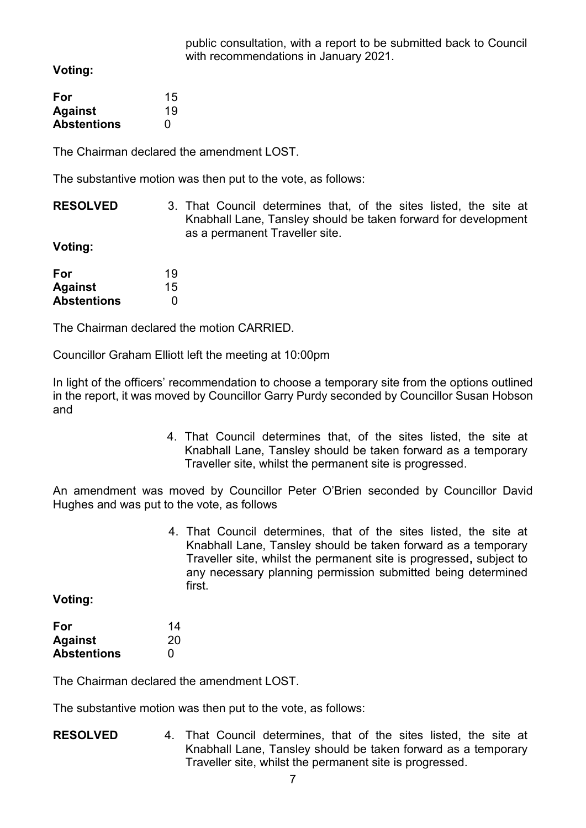public consultation, with a report to be submitted back to Council with recommendations in January 2021.

**Voting:**

| For                | 15 |
|--------------------|----|
| <b>Against</b>     | 19 |
| <b>Abstentions</b> | O  |

The Chairman declared the amendment LOST.

The substantive motion was then put to the vote, as follows:

**RESOLVED** 3. That Council determines that, of the sites listed, the site at Knabhall Lane, Tansley should be taken forward for development as a permanent Traveller site.

**Voting:**

| For                | 19 |
|--------------------|----|
| <b>Against</b>     | 15 |
| <b>Abstentions</b> | O  |

The Chairman declared the motion CARRIED.

Councillor Graham Elliott left the meeting at 10:00pm

In light of the officers' recommendation to choose a temporary site from the options outlined in the report, it was moved by Councillor Garry Purdy seconded by Councillor Susan Hobson and

> 4. That Council determines that, of the sites listed, the site at Knabhall Lane, Tansley should be taken forward as a temporary Traveller site, whilst the permanent site is progressed.

An amendment was moved by Councillor Peter O'Brien seconded by Councillor David Hughes and was put to the vote, as follows

> 4. That Council determines, that of the sites listed, the site at Knabhall Lane, Tansley should be taken forward as a temporary Traveller site, whilst the permanent site is progressed**,** subject to any necessary planning permission submitted being determined first.

**Voting:**

| For                | 14 |
|--------------------|----|
| <b>Against</b>     | 20 |
| <b>Abstentions</b> | O  |

The Chairman declared the amendment LOST.

The substantive motion was then put to the vote, as follows:

**RESOLVED** 4. That Council determines, that of the sites listed, the site at Knabhall Lane, Tansley should be taken forward as a temporary Traveller site, whilst the permanent site is progressed.